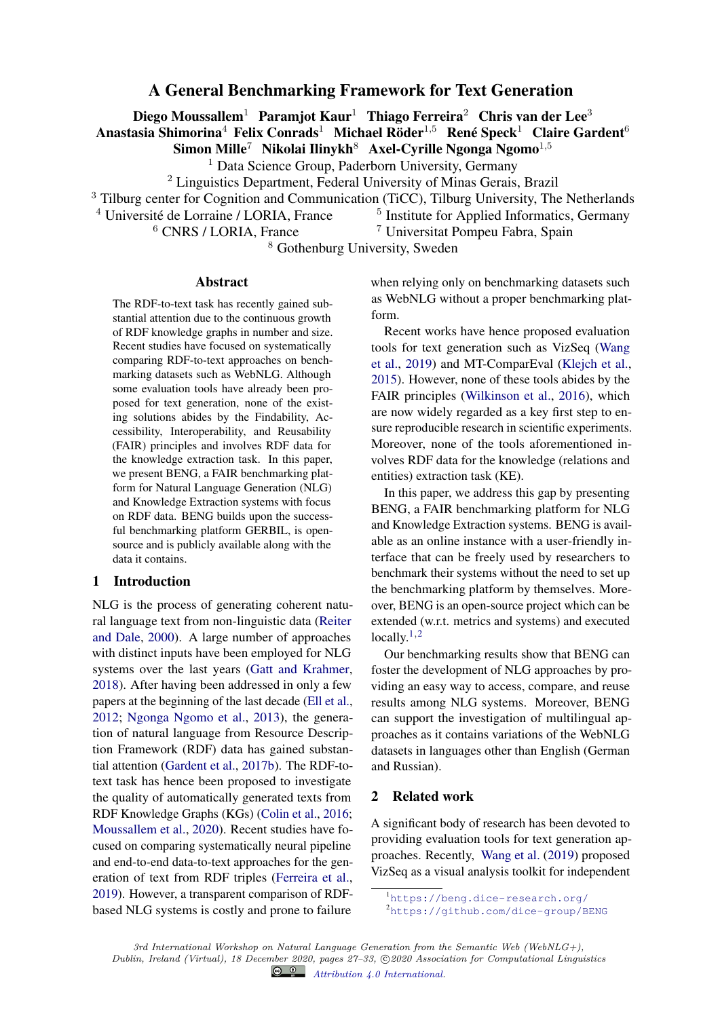# A General Benchmarking Framework for Text Generation

Diego Moussallem<sup>1</sup> Paramjot Kaur<sup>1</sup> Thiago Ferreira<sup>2</sup> Chris van der Lee<sup>3</sup> Anastasia Shimorina<sup>4</sup> Felix Conrads<sup>1</sup> Michael Röder<sup>1,5</sup> René Speck<sup>1</sup> Claire Gardent<sup>6</sup>

Simon Mille<sup>7</sup> Nikolai Ilinykh<sup>8</sup> Axel-Cyrille Ngonga Ngomo<sup>1,5</sup>

<sup>1</sup> Data Science Group, Paderborn University, Germany

<sup>2</sup> Linguistics Department, Federal University of Minas Gerais, Brazil

<sup>3</sup> Tilburg center for Cognition and Communication (TiCC), Tilburg University, The Netherlands

<sup>4</sup> Université de Lorraine / LORIA, France

 $<sup>5</sup>$  Institute for Applied Informatics, Germany</sup>  $6$  CNRS / LORIA, France  $7$  Universitat Pompeu Fabra, Spain

<sup>8</sup> Gothenburg University, Sweden

#### Abstract

The RDF-to-text task has recently gained substantial attention due to the continuous growth of RDF knowledge graphs in number and size. Recent studies have focused on systematically comparing RDF-to-text approaches on benchmarking datasets such as WebNLG. Although some evaluation tools have already been proposed for text generation, none of the existing solutions abides by the Findability, Accessibility, Interoperability, and Reusability (FAIR) principles and involves RDF data for the knowledge extraction task. In this paper, we present BENG, a FAIR benchmarking platform for Natural Language Generation (NLG) and Knowledge Extraction systems with focus on RDF data. BENG builds upon the successful benchmarking platform GERBIL, is opensource and is publicly available along with the data it contains.

## 1 Introduction

NLG is the process of generating coherent natural language text from non-linguistic data (Reiter and Dale, 2000). A large number of approaches with distinct inputs have been employed for NLG systems over the last years (Gatt and Krahmer, 2018). After having been addressed in only a few papers at the beginning of the last decade (Ell et al., 2012; Ngonga Ngomo et al., 2013), the generation of natural language from Resource Description Framework (RDF) data has gained substantial attention (Gardent et al., 2017b). The RDF-totext task has hence been proposed to investigate the quality of automatically generated texts from RDF Knowledge Graphs (KGs) (Colin et al., 2016; Moussallem et al., 2020). Recent studies have focused on comparing systematically neural pipeline and end-to-end data-to-text approaches for the generation of text from RDF triples (Ferreira et al., 2019). However, a transparent comparison of RDFbased NLG systems is costly and prone to failure

when relying only on benchmarking datasets such as WebNLG without a proper benchmarking platform.

Recent works have hence proposed evaluation tools for text generation such as VizSeq (Wang et al., 2019) and MT-ComparEval (Klejch et al., 2015). However, none of these tools abides by the FAIR principles (Wilkinson et al., 2016), which are now widely regarded as a key first step to ensure reproducible research in scientific experiments. Moreover, none of the tools aforementioned involves RDF data for the knowledge (relations and entities) extraction task (KE).

In this paper, we address this gap by presenting BENG, a FAIR benchmarking platform for NLG and Knowledge Extraction systems. BENG is available as an online instance with a user-friendly interface that can be freely used by researchers to benchmark their systems without the need to set up the benchmarking platform by themselves. Moreover, BENG is an open-source project which can be extended (w.r.t. metrics and systems) and executed locally. $1,2$ 

Our benchmarking results show that BENG can foster the development of NLG approaches by providing an easy way to access, compare, and reuse results among NLG systems. Moreover, BENG can support the investigation of multilingual approaches as it contains variations of the WebNLG datasets in languages other than English (German and Russian).

## 2 Related work

A significant body of research has been devoted to providing evaluation tools for text generation approaches. Recently, Wang et al. (2019) proposed VizSeq as a visual analysis toolkit for independent

<sup>1</sup><https://beng.dice-research.org/>

<sup>2</sup><https://github.com/dice-group/BENG>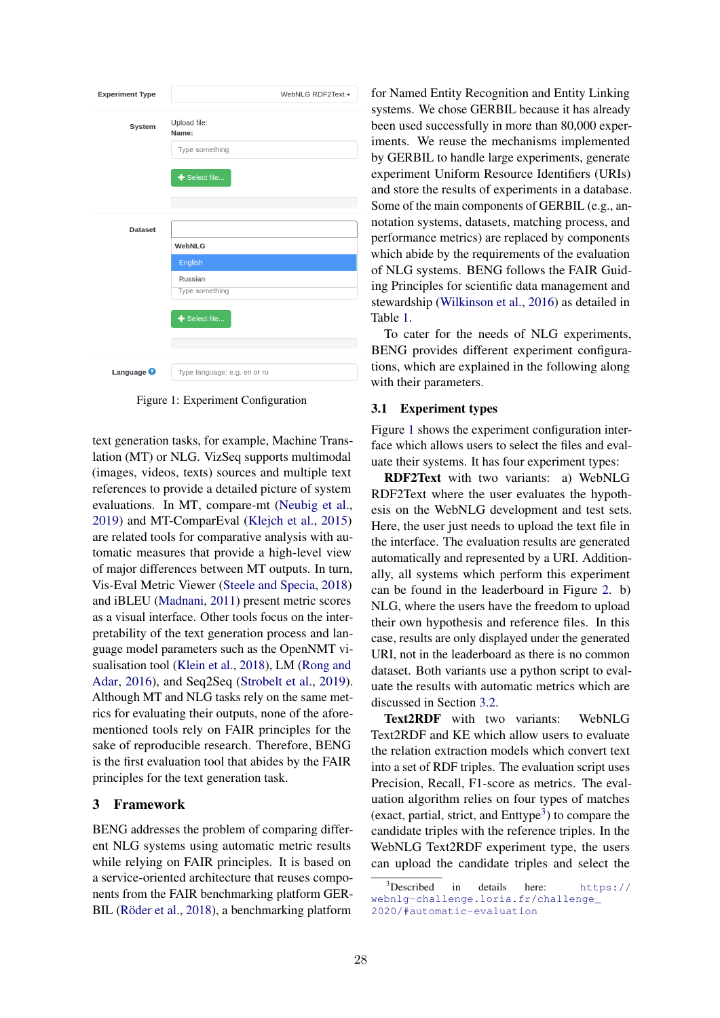

Figure 1: Experiment Configuration

text generation tasks, for example, Machine Translation (MT) or NLG. VizSeq supports multimodal (images, videos, texts) sources and multiple text references to provide a detailed picture of system evaluations. In MT, compare-mt (Neubig et al., 2019) and MT-ComparEval (Klejch et al., 2015) are related tools for comparative analysis with automatic measures that provide a high-level view of major differences between MT outputs. In turn, Vis-Eval Metric Viewer (Steele and Specia, 2018) and iBLEU (Madnani, 2011) present metric scores as a visual interface. Other tools focus on the interpretability of the text generation process and language model parameters such as the OpenNMT visualisation tool (Klein et al., 2018), LM (Rong and Adar, 2016), and Seq2Seq (Strobelt et al., 2019). Although MT and NLG tasks rely on the same metrics for evaluating their outputs, none of the aforementioned tools rely on FAIR principles for the sake of reproducible research. Therefore, BENG is the first evaluation tool that abides by the FAIR principles for the text generation task.

## 3 Framework

BENG addresses the problem of comparing different NLG systems using automatic metric results while relying on FAIR principles. It is based on a service-oriented architecture that reuses components from the FAIR benchmarking platform GER-BIL (Röder et al., 2018), a benchmarking platform

for Named Entity Recognition and Entity Linking systems. We chose GERBIL because it has already been used successfully in more than 80,000 experiments. We reuse the mechanisms implemented by GERBIL to handle large experiments, generate experiment Uniform Resource Identifiers (URIs) and store the results of experiments in a database. Some of the main components of GERBIL (e.g., annotation systems, datasets, matching process, and performance metrics) are replaced by components which abide by the requirements of the evaluation of NLG systems. BENG follows the FAIR Guiding Principles for scientific data management and stewardship (Wilkinson et al., 2016) as detailed in Table 1.

To cater for the needs of NLG experiments, BENG provides different experiment configurations, which are explained in the following along with their parameters.

#### 3.1 Experiment types

Figure 1 shows the experiment configuration interface which allows users to select the files and evaluate their systems. It has four experiment types:

RDF2Text with two variants: a) WebNLG RDF2Text where the user evaluates the hypothesis on the WebNLG development and test sets. Here, the user just needs to upload the text file in the interface. The evaluation results are generated automatically and represented by a URI. Additionally, all systems which perform this experiment can be found in the leaderboard in Figure 2. b) NLG, where the users have the freedom to upload their own hypothesis and reference files. In this case, results are only displayed under the generated URI, not in the leaderboard as there is no common dataset. Both variants use a python script to evaluate the results with automatic metrics which are discussed in Section 3.2.

Text2RDF with two variants: WebNLG Text2RDF and KE which allow users to evaluate the relation extraction models which convert text into a set of RDF triples. The evaluation script uses Precision, Recall, F1-score as metrics. The evaluation algorithm relies on four types of matches (exact, partial, strict, and  $Enttype<sup>3</sup>$ ) to compare the candidate triples with the reference triples. In the WebNLG Text2RDF experiment type, the users can upload the candidate triples and select the

<sup>3</sup>Described in details here: [https://](https://webnlg-challenge.loria.fr/challenge_2020/#automatic-evaluation) [webnlg-challenge.loria.fr/challenge\\_](https://webnlg-challenge.loria.fr/challenge_2020/#automatic-evaluation) [2020/#automatic-evaluation](https://webnlg-challenge.loria.fr/challenge_2020/#automatic-evaluation)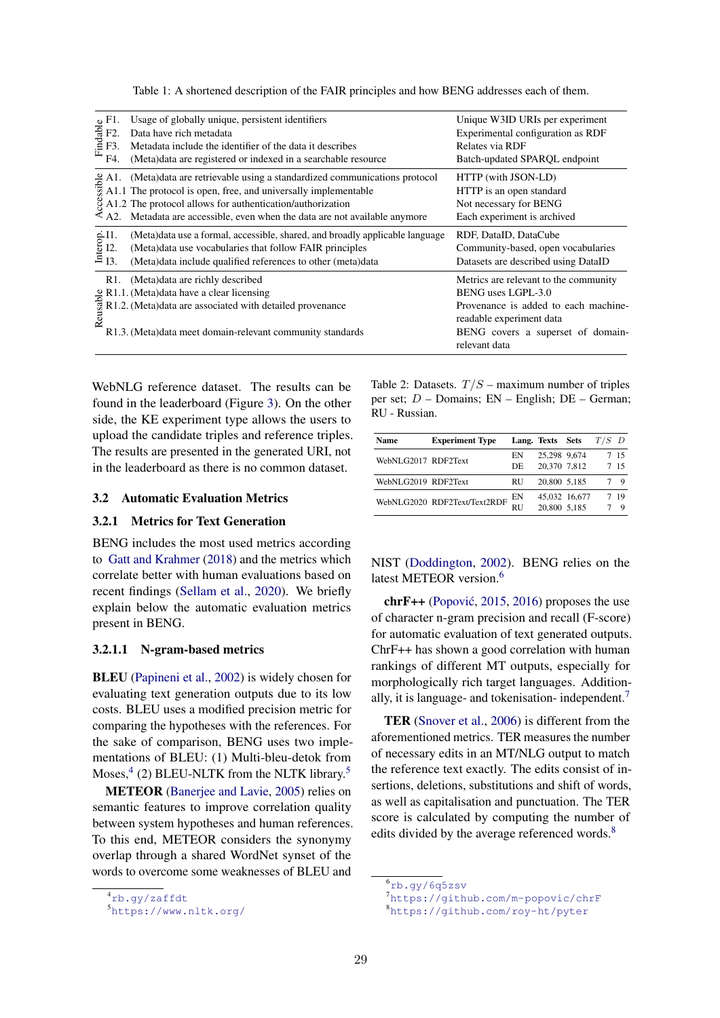Table 1: A shortened description of the FAIR principles and how BENG addresses each of them.

| $\begin{array}{c}\n\stackrel{\text{o}}{\phantom{0}} \stackrel{\text{d}}{\phantom{0}} \stackrel{\text{d}}{\phantom{0}} \stackrel{\text{e}}{\phantom{0}} \stackrel{\text{f}}{\phantom{0}} 1. \\ \stackrel{\text{f}}{\phantom{0}} \stackrel{\text{f}}{\phantom{0}} \stackrel{\text{f}}{\phantom{0}} 1. \\ \stackrel{\text{f}}{\phantom{0}} \stackrel{\text{f}}{\phantom{0}} \stackrel{\text{f}}{\phantom{0}} 1. \\ \stackrel{\text{f}}{\phantom{0}} \stackrel{\text{f}}{\phantom{0}} \stackrel{\text{g}}{\phantom{0}} \stackrel{\text$<br>F4. | Usage of globally unique, persistent identifiers<br>Data have rich metadata<br>Metadata include the identifier of the data it describes<br>(Meta)data are registered or indexed in a searchable resource                                                                                                                                                                                  | Unique W3ID URIs per experiment<br>Experimental configuration as RDF<br>Relates via RDF<br>Batch-updated SPARQL endpoint                                                              |
|--------------------------------------------------------------------------------------------------------------------------------------------------------------------------------------------------------------------------------------------------------------------------------------------------------------------------------------------------------------------------------------------------------------------------------------------------------------------------------------------------------------------------------------------|-------------------------------------------------------------------------------------------------------------------------------------------------------------------------------------------------------------------------------------------------------------------------------------------------------------------------------------------------------------------------------------------|---------------------------------------------------------------------------------------------------------------------------------------------------------------------------------------|
| $\bar{\mathcal{A}}$ A2.                                                                                                                                                                                                                                                                                                                                                                                                                                                                                                                    | (Meta)data are retrievable using a standardized communications protocol<br>$\frac{2}{32}$ A1. (Meta)data are retrievable using a standardized communically implementable<br>$34.1$ . The protocol is open, free, and universally implementable<br>$32$ A1.2 The protocol allows for authentication/authorization<br>Metadata are accessible, even when the data are not available anymore | HTTP (with JSON-LD)<br>HTTP is an open standard<br>Not necessary for BENG<br>Each experiment is archived                                                                              |
| $\frac{6}{9}$ II.<br>$\frac{1}{13}$ .                                                                                                                                                                                                                                                                                                                                                                                                                                                                                                      | (Meta)data use a formal, accessible, shared, and broadly applicable language<br>(Meta) data use vocabularies that follow FAIR principles<br>(Meta)data include qualified references to other (meta)data                                                                                                                                                                                   | RDF, DataID, DataCube<br>Community-based, open vocabularies<br>Datasets are described using DataID                                                                                    |
| $R1$ .                                                                                                                                                                                                                                                                                                                                                                                                                                                                                                                                     | (Meta)data are richly described<br>$\frac{2}{3}$ R1.1. (Meta)data have a clear licensing<br>R1.2. (Meta)data are associated with detailed provenance<br>$\frac{3}{2}$<br>R1.3. (Meta)data meet domain-relevant community standards                                                                                                                                                        | Metrics are relevant to the community<br>BENG uses LGPL-3.0<br>Provenance is added to each machine-<br>readable experiment data<br>BENG covers a superset of domain-<br>relevant data |

WebNLG reference dataset. The results can be found in the leaderboard (Figure 3). On the other side, the KE experiment type allows the users to upload the candidate triples and reference triples. The results are presented in the generated URI, not in the leaderboard as there is no common dataset.

### 3.2 Automatic Evaluation Metrics

### 3.2.1 Metrics for Text Generation

BENG includes the most used metrics according to Gatt and Krahmer (2018) and the metrics which correlate better with human evaluations based on recent findings (Sellam et al., 2020). We briefly explain below the automatic evaluation metrics present in BENG.

#### 3.2.1.1 N-gram-based metrics

BLEU (Papineni et al., 2002) is widely chosen for evaluating text generation outputs due to its low costs. BLEU uses a modified precision metric for comparing the hypotheses with the references. For the sake of comparison, BENG uses two implementations of BLEU: (1) Multi-bleu-detok from Moses,<sup>4</sup> (2) BLEU-NLTK from the NLTK library.<sup>5</sup>

METEOR (Banerjee and Lavie, 2005) relies on semantic features to improve correlation quality between system hypotheses and human references. To this end, METEOR considers the synonymy overlap through a shared WordNet synset of the words to overcome some weaknesses of BLEU and Table 2: Datasets.  $T/S$  – maximum number of triples per set;  $D$  – Domains;  $EN$  – English;  $DE$  – German; RU - Russian.

| Name                | <b>Experiment Type</b>       |           | Lang. Texts Sets |               | $T/S$ D |             |
|---------------------|------------------------------|-----------|------------------|---------------|---------|-------------|
| WebNLG2017 RDF2Text |                              | ΕN        | 25,298 9,674     |               |         | 7 15        |
|                     |                              | DE        | 20,370 7,812     |               |         | 7 15        |
| WebNLG2019 RDF2Text |                              | RU        | 20,800 5.185     |               |         | $\mathbf Q$ |
|                     | WebNLG2020 RDF2Text/Text2RDF | EΝ        |                  | 45,032 16,677 | 7       | -19         |
|                     |                              | <b>RU</b> | 20,800 5.185     |               |         | Q           |

NIST (Doddington, 2002). BENG relies on the latest METEOR version.<sup>6</sup>

 $chrF++$  (Popović, 2015, 2016) proposes the use of character n-gram precision and recall (F-score) for automatic evaluation of text generated outputs. ChrF++ has shown a good correlation with human rankings of different MT outputs, especially for morphologically rich target languages. Additionally, it is language- and tokenisation- independent.<sup>7</sup>

TER (Snover et al., 2006) is different from the aforementioned metrics. TER measures the number of necessary edits in an MT/NLG output to match the reference text exactly. The edits consist of insertions, deletions, substitutions and shift of words, as well as capitalisation and punctuation. The TER score is calculated by computing the number of edits divided by the average referenced words.<sup>8</sup>

<sup>4</sup><rb.gy/zaffdt>

<sup>5</sup><https://www.nltk.org/>

<sup>6</sup><rb.gy/6q5zsv>

<sup>7</sup><https://github.com/m-popovic/chrF>

<sup>8</sup><https://github.com/roy-ht/pyter>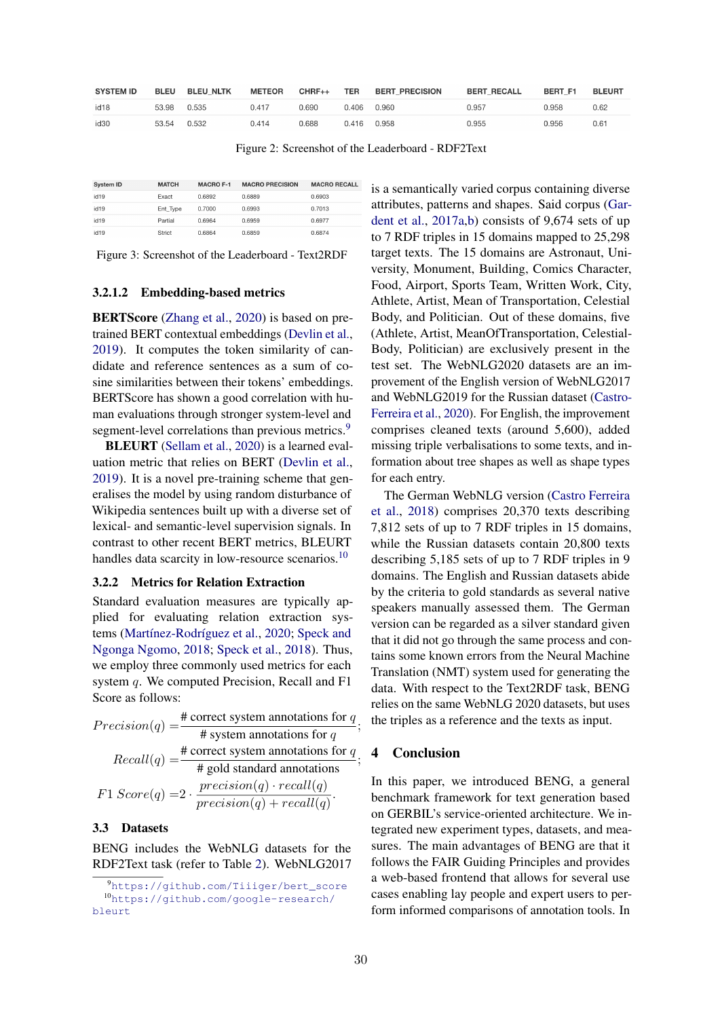| <b>SYSTEM ID</b> | <b>BLEU</b> | <b>BLEU NLTK</b> | <b>METEOR</b> | $CHRF++$ | TER   | <b>BERT PRECISION</b> | <b>BERT RECALL</b> | BERT F1 | <b>BLEURT</b> |
|------------------|-------------|------------------|---------------|----------|-------|-----------------------|--------------------|---------|---------------|
| id <sub>18</sub> | 53.98       | 0.535            | 0.417         | 0.690    | 0.406 | 0.960                 | 0.957              | 0.958   | 0.62          |
| id30             | 53.54       | 0.532            | 0.414         | 0.688    | 0.416 | 0.958                 | 0.955              | 0.956   | 0.61          |

Figure 2: Screenshot of the Leaderboard - RDF2Text

| System ID        | <b>MATCH</b> | <b>MACRO F-1</b> | <b>MACRO PRECISION</b> | <b>MACRO RECAL</b> |
|------------------|--------------|------------------|------------------------|--------------------|
| id <sub>19</sub> | Exact        | 0.6892           | 0.6889                 | 0.6903             |
| id19             | Ent Type     | 0.7000           | 0.6993                 | 0.7013             |
| id19             | Partial      | 0.6964           | 0.6959                 | 0.6977             |
| id <sub>19</sub> | Strict       | 0.6864           | 0.6859                 | 0.6874             |

Figure 3: Screenshot of the Leaderboard - Text2RDF

#### 3.2.1.2 Embedding-based metrics

BERTScore (Zhang et al., 2020) is based on pretrained BERT contextual embeddings (Devlin et al., 2019). It computes the token similarity of candidate and reference sentences as a sum of cosine similarities between their tokens' embeddings. BERTScore has shown a good correlation with human evaluations through stronger system-level and segment-level correlations than previous metrics.<sup>9</sup>

BLEURT (Sellam et al., 2020) is a learned evaluation metric that relies on BERT (Devlin et al., 2019). It is a novel pre-training scheme that generalises the model by using random disturbance of Wikipedia sentences built up with a diverse set of lexical- and semantic-level supervision signals. In contrast to other recent BERT metrics, BLEURT handles data scarcity in low-resource scenarios.<sup>10</sup>

#### 3.2.2 Metrics for Relation Extraction

Standard evaluation measures are typically applied for evaluating relation extraction systems (Martínez-Rodríguez et al., 2020; Speck and Ngonga Ngomo, 2018; Speck et al., 2018). Thus, we employ three commonly used metrics for each system q. We computed Precision, Recall and F1 Score as follows:

$$
Precision(q) = \frac{\text{\# correct system annotations for } q}{\text{\# system annotations for } q}
$$
\n
$$
Recall(q) = \frac{\text{\# correct system annotations for } q}{\text{\# gold standard annotations}}
$$
\n
$$
F1\ Score(q) = 2 \cdot \frac{precision(q) \cdot recall(q)}{precision(q) + recall(q)}.
$$

## 3.3 Datasets

BENG includes the WebNLG datasets for the RDF2Text task (refer to Table 2). WebNLG2017 is a semantically varied corpus containing diverse attributes, patterns and shapes. Said corpus (Gardent et al., 2017a,b) consists of 9,674 sets of up to 7 RDF triples in 15 domains mapped to 25,298 target texts. The 15 domains are Astronaut, University, Monument, Building, Comics Character, Food, Airport, Sports Team, Written Work, City, Athlete, Artist, Mean of Transportation, Celestial Body, and Politician. Out of these domains, five (Athlete, Artist, MeanOfTransportation, Celestial-Body, Politician) are exclusively present in the test set. The WebNLG2020 datasets are an improvement of the English version of WebNLG2017 and WebNLG2019 for the Russian dataset (Castro-Ferreira et al., 2020). For English, the improvement comprises cleaned texts (around 5,600), added missing triple verbalisations to some texts, and information about tree shapes as well as shape types for each entry.

The German WebNLG version (Castro Ferreira et al., 2018) comprises 20,370 texts describing 7,812 sets of up to 7 RDF triples in 15 domains, while the Russian datasets contain 20,800 texts describing 5,185 sets of up to 7 RDF triples in 9 domains. The English and Russian datasets abide by the criteria to gold standards as several native speakers manually assessed them. The German version can be regarded as a silver standard given that it did not go through the same process and contains some known errors from the Neural Machine Translation (NMT) system used for generating the data. With respect to the Text2RDF task, BENG relies on the same WebNLG 2020 datasets, but uses the triples as a reference and the texts as input.

### 4 Conclusion

In this paper, we introduced BENG, a general benchmark framework for text generation based on GERBIL's service-oriented architecture. We integrated new experiment types, datasets, and measures. The main advantages of BENG are that it follows the FAIR Guiding Principles and provides a web-based frontend that allows for several use cases enabling lay people and expert users to perform informed comparisons of annotation tools. In

;

;

<sup>9</sup>[https://github.com/Tiiiger/bert\\_score](https://github.com/Tiiiger/bert_score) <sup>10</sup>[https://github.com/google-research/](https://github.com/google-research/bleurt) [bleurt](https://github.com/google-research/bleurt)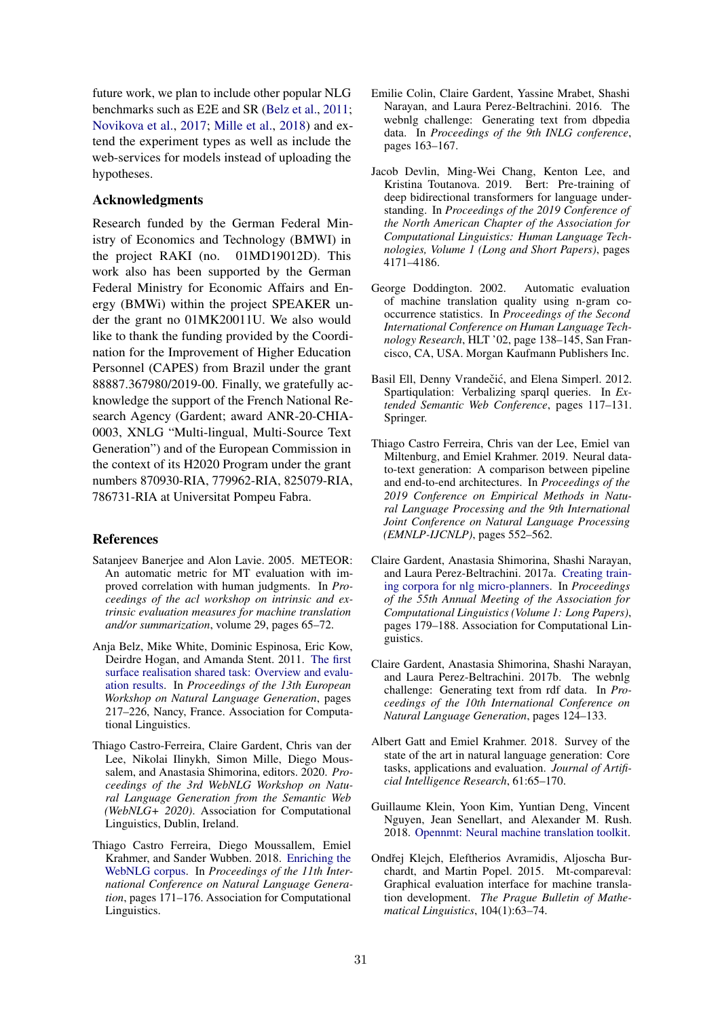future work, we plan to include other popular NLG benchmarks such as E2E and SR (Belz et al., 2011; Novikova et al., 2017; Mille et al., 2018) and extend the experiment types as well as include the web-services for models instead of uploading the hypotheses.

## Acknowledgments

Research funded by the German Federal Ministry of Economics and Technology (BMWI) in the project RAKI (no. 01MD19012D). This work also has been supported by the German Federal Ministry for Economic Affairs and Energy (BMWi) within the project SPEAKER under the grant no 01MK20011U. We also would like to thank the funding provided by the Coordination for the Improvement of Higher Education Personnel (CAPES) from Brazil under the grant 88887.367980/2019-00. Finally, we gratefully acknowledge the support of the French National Research Agency (Gardent; award ANR-20-CHIA-0003, XNLG "Multi-lingual, Multi-Source Text Generation") and of the European Commission in the context of its H2020 Program under the grant numbers 870930-RIA, 779962-RIA, 825079-RIA, 786731-RIA at Universitat Pompeu Fabra.

## References

- Satanjeev Banerjee and Alon Lavie. 2005. METEOR: An automatic metric for MT evaluation with improved correlation with human judgments. In *Proceedings of the acl workshop on intrinsic and extrinsic evaluation measures for machine translation and/or summarization*, volume 29, pages 65–72.
- Anja Belz, Mike White, Dominic Espinosa, Eric Kow, Deirdre Hogan, and Amanda Stent. 2011. [The first](http://www.aclweb.org/anthology/W11-2832) [surface realisation shared task: Overview and evalu](http://www.aclweb.org/anthology/W11-2832)[ation results.](http://www.aclweb.org/anthology/W11-2832) In *Proceedings of the 13th European Workshop on Natural Language Generation*, pages 217–226, Nancy, France. Association for Computational Linguistics.
- Thiago Castro-Ferreira, Claire Gardent, Chris van der Lee, Nikolai Ilinykh, Simon Mille, Diego Moussalem, and Anastasia Shimorina, editors. 2020. *Proceedings of the 3rd WebNLG Workshop on Natural Language Generation from the Semantic Web (WebNLG+ 2020)*. Association for Computational Linguistics, Dublin, Ireland.
- Thiago Castro Ferreira, Diego Moussallem, Emiel Krahmer, and Sander Wubben. 2018. [Enriching the](http://aclweb.org/anthology/W18-6521) [WebNLG corpus.](http://aclweb.org/anthology/W18-6521) In *Proceedings of the 11th International Conference on Natural Language Generation*, pages 171–176. Association for Computational Linguistics.
- Emilie Colin, Claire Gardent, Yassine Mrabet, Shashi Narayan, and Laura Perez-Beltrachini. 2016. The webnlg challenge: Generating text from dbpedia data. In *Proceedings of the 9th INLG conference*, pages 163–167.
- Jacob Devlin, Ming-Wei Chang, Kenton Lee, and Kristina Toutanova. 2019. Bert: Pre-training of deep bidirectional transformers for language understanding. In *Proceedings of the 2019 Conference of the North American Chapter of the Association for Computational Linguistics: Human Language Technologies, Volume 1 (Long and Short Papers)*, pages 4171–4186.
- George Doddington. 2002. Automatic evaluation of machine translation quality using n-gram cooccurrence statistics. In *Proceedings of the Second International Conference on Human Language Technology Research*, HLT '02, page 138–145, San Francisco, CA, USA. Morgan Kaufmann Publishers Inc.
- Basil Ell, Denny Vrandečić, and Elena Simperl. 2012. Spartiqulation: Verbalizing sparql queries. In *Extended Semantic Web Conference*, pages 117–131. Springer.
- Thiago Castro Ferreira, Chris van der Lee, Emiel van Miltenburg, and Emiel Krahmer. 2019. Neural datato-text generation: A comparison between pipeline and end-to-end architectures. In *Proceedings of the 2019 Conference on Empirical Methods in Natural Language Processing and the 9th International Joint Conference on Natural Language Processing (EMNLP-IJCNLP)*, pages 552–562.
- Claire Gardent, Anastasia Shimorina, Shashi Narayan, and Laura Perez-Beltrachini. 2017a. [Creating train](https://doi.org/10.18653/v1/P17-1017)[ing corpora for nlg micro-planners.](https://doi.org/10.18653/v1/P17-1017) In *Proceedings of the 55th Annual Meeting of the Association for Computational Linguistics (Volume 1: Long Papers)*, pages 179–188. Association for Computational Linguistics.
- Claire Gardent, Anastasia Shimorina, Shashi Narayan, and Laura Perez-Beltrachini. 2017b. The webnlg challenge: Generating text from rdf data. In *Proceedings of the 10th International Conference on Natural Language Generation*, pages 124–133.
- Albert Gatt and Emiel Krahmer. 2018. Survey of the state of the art in natural language generation: Core tasks, applications and evaluation. *Journal of Artificial Intelligence Research*, 61:65–170.
- Guillaume Klein, Yoon Kim, Yuntian Deng, Vincent Nguyen, Jean Senellart, and Alexander M. Rush. 2018. [Opennmt: Neural machine translation toolkit.](http://arxiv.org/abs/1805.11462)
- Ondřej Kleich, Eleftherios Avramidis, Aljoscha Burchardt, and Martin Popel. 2015. Mt-compareval: Graphical evaluation interface for machine translation development. *The Prague Bulletin of Mathematical Linguistics*, 104(1):63–74.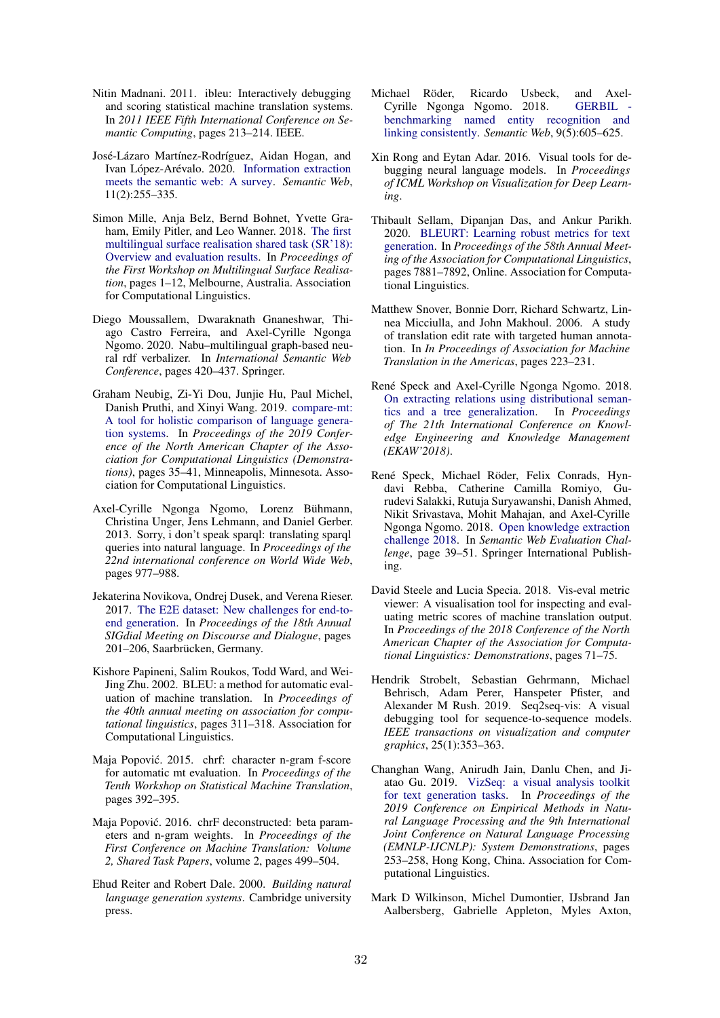- Nitin Madnani. 2011. ibleu: Interactively debugging and scoring statistical machine translation systems. In *2011 IEEE Fifth International Conference on Semantic Computing*, pages 213–214. IEEE.
- José-Lázaro Martínez-Rodríguez, Aidan Hogan, and Ivan López-Arévalo. 2020. [Information extraction](https://doi.org/10.3233/SW-180333) [meets the semantic web: A survey.](https://doi.org/10.3233/SW-180333) *Semantic Web*, 11(2):255–335.
- Simon Mille, Anja Belz, Bernd Bohnet, Yvette Graham, Emily Pitler, and Leo Wanner. 2018. [The first](https://doi.org/10.18653/v1/W18-3601) [multilingual surface realisation shared task \(SR'18\):](https://doi.org/10.18653/v1/W18-3601) [Overview and evaluation results.](https://doi.org/10.18653/v1/W18-3601) In *Proceedings of the First Workshop on Multilingual Surface Realisation*, pages 1–12, Melbourne, Australia. Association for Computational Linguistics.
- Diego Moussallem, Dwaraknath Gnaneshwar, Thiago Castro Ferreira, and Axel-Cyrille Ngonga Ngomo. 2020. Nabu–multilingual graph-based neural rdf verbalizer. In *International Semantic Web Conference*, pages 420–437. Springer.
- Graham Neubig, Zi-Yi Dou, Junjie Hu, Paul Michel, Danish Pruthi, and Xinyi Wang. 2019. [compare-mt:](https://doi.org/10.18653/v1/N19-4007) [A tool for holistic comparison of language genera](https://doi.org/10.18653/v1/N19-4007)[tion systems.](https://doi.org/10.18653/v1/N19-4007) In *Proceedings of the 2019 Conference of the North American Chapter of the Association for Computational Linguistics (Demonstrations)*, pages 35–41, Minneapolis, Minnesota. Association for Computational Linguistics.
- Axel-Cyrille Ngonga Ngomo, Lorenz Bühmann, Christina Unger, Jens Lehmann, and Daniel Gerber. 2013. Sorry, i don't speak sparql: translating sparql queries into natural language. In *Proceedings of the 22nd international conference on World Wide Web*, pages 977–988.
- Jekaterina Novikova, Ondrej Dusek, and Verena Rieser. 2017. [The E2E dataset: New challenges for end-to](https://aclanthology.info/papers/W17-5525/w17-5525)[end generation.](https://aclanthology.info/papers/W17-5525/w17-5525) In *Proceedings of the 18th Annual SIGdial Meeting on Discourse and Dialogue*, pages 201–206, Saarbrücken, Germany.
- Kishore Papineni, Salim Roukos, Todd Ward, and Wei-Jing Zhu. 2002. BLEU: a method for automatic evaluation of machine translation. In *Proceedings of the 40th annual meeting on association for computational linguistics*, pages 311–318. Association for Computational Linguistics.
- Maja Popović. 2015. chrf: character n-gram f-score for automatic mt evaluation. In *Proceedings of the Tenth Workshop on Statistical Machine Translation*, pages 392–395.
- Maja Popović. 2016. chrF deconstructed: beta parameters and n-gram weights. In *Proceedings of the First Conference on Machine Translation: Volume 2, Shared Task Papers*, volume 2, pages 499–504.
- Ehud Reiter and Robert Dale. 2000. *Building natural language generation systems*. Cambridge university press.
- Michael Röder, Ricardo Usbeck, and Axel-Cyrille Ngonga Ngomo. 2018. GERBIL [benchmarking named entity recognition and](https://doi.org/10.3233/SW-170286) [linking consistently.](https://doi.org/10.3233/SW-170286) *Semantic Web*, 9(5):605–625.
- Xin Rong and Eytan Adar. 2016. Visual tools for debugging neural language models. In *Proceedings of ICML Workshop on Visualization for Deep Learning*.
- Thibault Sellam, Dipanjan Das, and Ankur Parikh. 2020. [BLEURT: Learning robust metrics for text](https://doi.org/10.18653/v1/2020.acl-main.704) [generation.](https://doi.org/10.18653/v1/2020.acl-main.704) In *Proceedings of the 58th Annual Meeting of the Association for Computational Linguistics*, pages 7881–7892, Online. Association for Computational Linguistics.
- Matthew Snover, Bonnie Dorr, Richard Schwartz, Linnea Micciulla, and John Makhoul. 2006. A study of translation edit rate with targeted human annotation. In *In Proceedings of Association for Machine Translation in the Americas*, pages 223–231.
- René Speck and Axel-Cyrille Ngonga Ngomo. 2018. [On extracting relations using distributional seman](http://svn.aksw.org/papers/2018/EKAW_Ocelot/public.pdf)[tics and a tree generalization.](http://svn.aksw.org/papers/2018/EKAW_Ocelot/public.pdf) In *Proceedings of The 21th International Conference on Knowledge Engineering and Knowledge Management (EKAW'2018)*.
- René Speck, Michael Röder, Felix Conrads, Hyndavi Rebba, Catherine Camilla Romiyo, Gurudevi Salakki, Rutuja Suryawanshi, Danish Ahmed, Nikit Srivastava, Mohit Mahajan, and Axel-Cyrille Ngonga Ngomo. 2018. [Open knowledge extraction](https://svn.aksw.org/papers/2018/ESWC_Challenge_OKE/public.pdf) [challenge 2018.](https://svn.aksw.org/papers/2018/ESWC_Challenge_OKE/public.pdf) In *Semantic Web Evaluation Challenge*, page 39–51. Springer International Publishing.
- David Steele and Lucia Specia. 2018. Vis-eval metric viewer: A visualisation tool for inspecting and evaluating metric scores of machine translation output. In *Proceedings of the 2018 Conference of the North American Chapter of the Association for Computational Linguistics: Demonstrations*, pages 71–75.
- Hendrik Strobelt, Sebastian Gehrmann, Michael Behrisch, Adam Perer, Hanspeter Pfister, and Alexander M Rush. 2019. Seq2seq-vis: A visual debugging tool for sequence-to-sequence models. *IEEE transactions on visualization and computer graphics*, 25(1):353–363.
- Changhan Wang, Anirudh Jain, Danlu Chen, and Jiatao Gu. 2019. [VizSeq: a visual analysis toolkit](https://doi.org/10.18653/v1/D19-3043) [for text generation tasks.](https://doi.org/10.18653/v1/D19-3043) In *Proceedings of the 2019 Conference on Empirical Methods in Natural Language Processing and the 9th International Joint Conference on Natural Language Processing (EMNLP-IJCNLP): System Demonstrations*, pages 253–258, Hong Kong, China. Association for Computational Linguistics.
- Mark D Wilkinson, Michel Dumontier, IJsbrand Jan Aalbersberg, Gabrielle Appleton, Myles Axton,